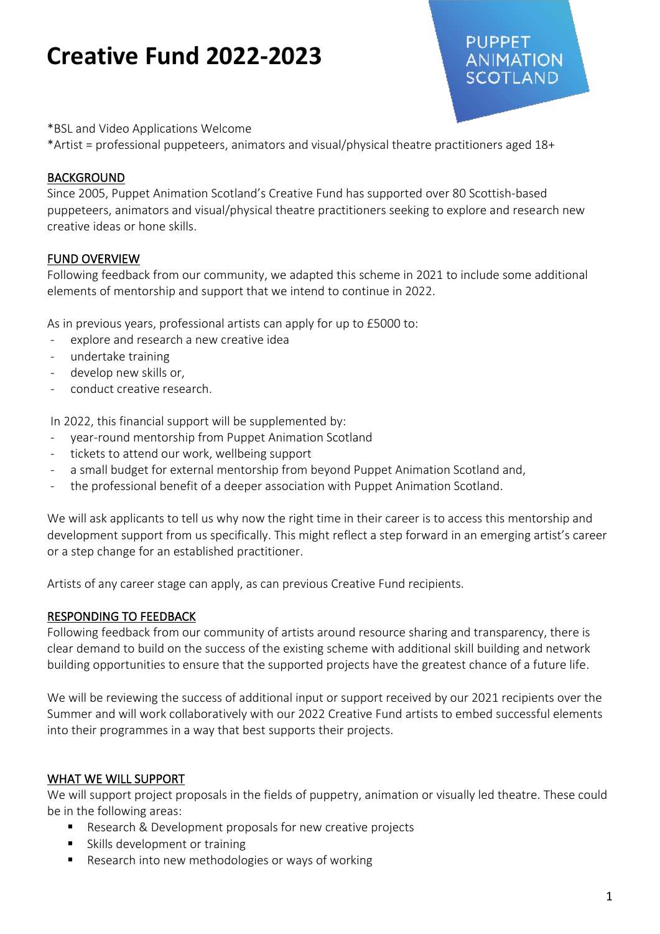\*BSL and Video Applications Welcome

\*Artist = professional puppeteers, animators and visual/physical theatre practitioners aged 18+

#### BACKGROUND

Since 2005, Puppet Animation Scotland's Creative Fund has supported over 80 Scottish-based puppeteers, animators and visual/physical theatre practitioners seeking to explore and research new creative ideas or hone skills.

PUPPET.

**ANIMATION SCOTLAND** 

#### FUND OVERVIEW

Following feedback from our community, we adapted this scheme in 2021 to include some additional elements of mentorship and support that we intend to continue in 2022.

As in previous years, professional artists can apply for up to £5000 to:

- explore and research a new creative idea
- undertake training
- develop new skills or,
- conduct creative research.

In 2022, this financial support will be supplemented by:

- year-round mentorship from Puppet Animation Scotland
- tickets to attend our work, wellbeing support
- a small budget for external mentorship from beyond Puppet Animation Scotland and,
- the professional benefit of a deeper association with Puppet Animation Scotland.

We will ask applicants to tell us why now the right time in their career is to access this mentorship and development support from us specifically. This might reflect a step forward in an emerging artist's career or a step change for an established practitioner.

Artists of any career stage can apply, as can previous Creative Fund recipients.

#### RESPONDING TO FEEDBACK

Following feedback from our community of artists around resource sharing and transparency, there is clear demand to build on the success of the existing scheme with additional skill building and network building opportunities to ensure that the supported projects have the greatest chance of a future life.

We will be reviewing the success of additional input or support received by our 2021 recipients over the Summer and will work collaboratively with our 2022 Creative Fund artists to embed successful elements into their programmes in a way that best supports their projects.

#### WHAT WE WILL SUPPORT

We will support project proposals in the fields of puppetry, animation or visually led theatre. These could be in the following areas:

- Research & Development proposals for new creative projects
- Skills development or training
- Research into new methodologies or ways of working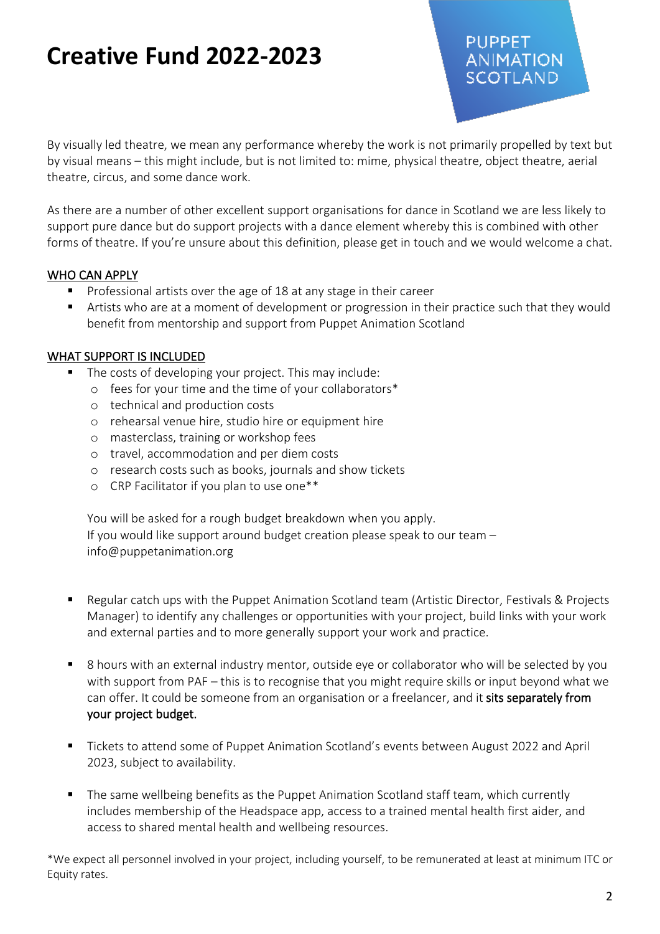By visually led theatre, we mean any performance whereby the work is not primarily propelled by text but by visual means – this might include, but is not limited to: mime, physical theatre, object theatre, aerial theatre, circus, and some dance work.

As there are a number of other excellent support organisations for dance in Scotland we are less likely to support pure dance but do support projects with a dance element whereby this is combined with other forms of theatre. If you're unsure about this definition, please get in touch and we would welcome a chat.

### WHO CAN APPLY

- Professional artists over the age of 18 at any stage in their career
- Artists who are at a moment of development or progression in their practice such that they would benefit from mentorship and support from Puppet Animation Scotland

### WHAT SUPPORT IS INCLUDED

- The costs of developing your project. This may include:
	- o fees for your time and the time of your collaborators\*
	- o technical and production costs
	- o rehearsal venue hire, studio hire or equipment hire
	- o masterclass, training or workshop fees
	- o travel, accommodation and per diem costs
	- o research costs such as books, journals and show tickets
	- o CRP Facilitator if you plan to use one\*\*

You will be asked for a rough budget breakdown when you apply. If you would like support around budget creation please speak to our team – info@puppetanimation.org

- Regular catch ups with the Puppet Animation Scotland team (Artistic Director, Festivals & Projects Manager) to identify any challenges or opportunities with your project, build links with your work and external parties and to more generally support your work and practice.
- 8 hours with an external industry mentor, outside eye or collaborator who will be selected by you with support from PAF – this is to recognise that you might require skills or input beyond what we can offer. It could be someone from an organisation or a freelancer, and it sits separately from your project budget.
- Tickets to attend some of Puppet Animation Scotland's events between August 2022 and April 2023, subject to availability.
- The same wellbeing benefits as the Puppet Animation Scotland staff team, which currently includes membership of the Headspace app, access to a trained mental health first aider, and access to shared mental health and wellbeing resources.

\*We expect all personnel involved in your project, including yourself, to be remunerated at least at minimum ITC or Equity rates.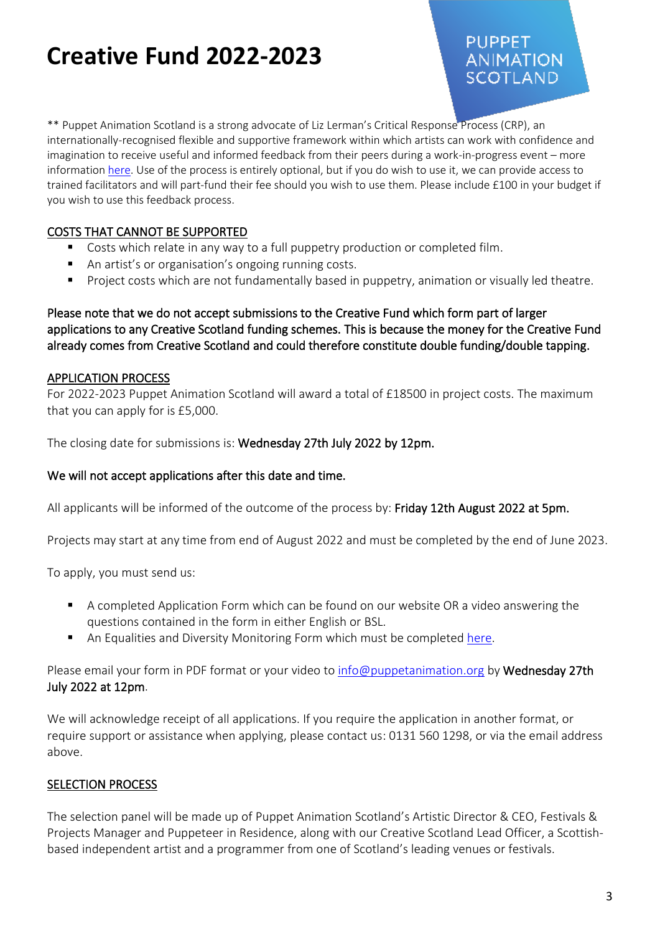## PUPPET. **ANIMATION** SCOTLAND

\*\* Puppet Animation Scotland is a strong advocate of Liz Lerman's Critical Response Process (CRP), an internationally-recognised flexible and supportive framework within which artists can work with confidence and imagination to receive useful and informed feedback from their peers during a work-in-progress event – more information [here.](https://puppetanimation.org/what-we-do/crp/) Use of the process is entirely optional, but if you do wish to use it, we can provide access to trained facilitators and will part-fund their fee should you wish to use them. Please include £100 in your budget if you wish to use this feedback process.

### COSTS THAT CANNOT BE SUPPORTED

- Costs which relate in any way to a full puppetry production or completed film.
- An artist's or organisation's ongoing running costs.
- Project costs which are not fundamentally based in puppetry, animation or visually led theatre.

Please note that we do not accept submissions to the Creative Fund which form part of larger applications to any Creative Scotland funding schemes. This is because the money for the Creative Fund already comes from Creative Scotland and could therefore constitute double funding/double tapping.

### APPLICATION PROCESS

For 2022-2023 Puppet Animation Scotland will award a total of £18500 in project costs. The maximum that you can apply for is £5,000.

The closing date for submissions is: Wednesday 27th July 2022 by 12pm.

### We will not accept applications after this date and time.

All applicants will be informed of the outcome of the process by: Friday 12th August 2022 at 5pm.

Projects may start at any time from end of August 2022 and must be completed by the end of June 2023.

To apply, you must send us:

- A completed Application Form which can be found on our website OR a video answering the questions contained in the form in either English or BSL.
- An Equalities and Diversity Monitoring Form which must be completed [here.](https://www.surveymonkey.co.uk/r/ZMLJH9G)

Please email your form in PDF format or your video to [info@puppetanimation.org](mailto:info@puppetanimation.org) by Wednesday 27th July 2022 at 12pm.

We will acknowledge receipt of all applications. If you require the application in another format, or require support or assistance when applying, please contact us: 0131 560 1298, or via the email address above.

### SELECTION PROCESS

The selection panel will be made up of Puppet Animation Scotland's Artistic Director & CEO, Festivals & Projects Manager and Puppeteer in Residence, along with our Creative Scotland Lead Officer, a Scottishbased independent artist and a programmer from one of Scotland's leading venues or festivals.